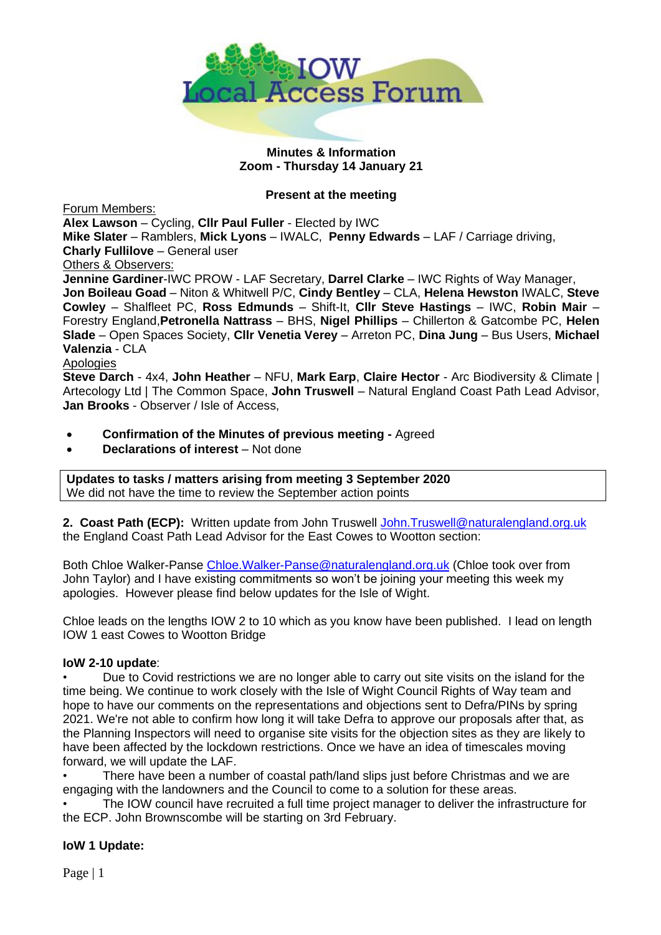

## **Minutes & Information Zoom - Thursday 14 January 21**

#### **Present at the meeting**

Forum Members:

**Alex Lawson** – Cycling, **Cllr Paul Fuller** - Elected by IWC **Mike Slater** – Ramblers, **Mick Lyons** – IWALC, **Penny Edwards** – LAF / Carriage driving,

**Charly Fullilove** – General user

Others & Observers:

**Jennine Gardiner**-IWC PROW - LAF Secretary, **Darrel Clarke** – IWC Rights of Way Manager, **Jon Boileau Goad** – Niton & Whitwell P/C, **Cindy Bentley** – CLA, **Helena Hewston** IWALC, **Steve Cowley** – Shalfleet PC, **Ross Edmunds** – Shift-It, **Cllr Steve Hastings** – IWC, **Robin Mair** – Forestry England,**Petronella Nattrass** – BHS, **Nigel Phillips** – Chillerton & Gatcombe PC, **Helen Slade** – Open Spaces Society, **Cllr Venetia Verey** – Arreton PC, **Dina Jung** – Bus Users, **Michael Valenzia** - CLA

Apologies

**Steve Darch** - 4x4, **John Heather** – NFU, **Mark Earp**, **Claire Hector** - Arc Biodiversity & Climate | Artecology Ltd | The Common Space, **John Truswell** – Natural England Coast Path Lead Advisor, **Jan Brooks** - Observer / Isle of Access,

- **Confirmation of the Minutes of previous meeting -** Agreed
- **Declarations of interest** Not done

**Updates to tasks / matters arising from meeting 3 September 2020** We did not have the time to review the September action points

**2. Coast Path (ECP):** Written update from John Truswell [John.Truswell@naturalengland.org.uk](mailto:John.Truswell@naturalengland.org.uk)  the England Coast Path Lead Advisor for the East Cowes to Wootton section:

Both Chloe Walker-Panse [Chloe.Walker-Panse@naturalengland.org.uk](mailto:Chloe.Walker-Panse@naturalengland.org.uk) (Chloe took over from John Taylor) and I have existing commitments so won't be joining your meeting this week my apologies. However please find below updates for the Isle of Wight.

Chloe leads on the lengths IOW 2 to 10 which as you know have been published. I lead on length IOW 1 east Cowes to Wootton Bridge

## **IoW 2-10 update**:

• Due to Covid restrictions we are no longer able to carry out site visits on the island for the time being. We continue to work closely with the Isle of Wight Council Rights of Way team and hope to have our comments on the representations and objections sent to Defra/PINs by spring 2021. We're not able to confirm how long it will take Defra to approve our proposals after that, as the Planning Inspectors will need to organise site visits for the objection sites as they are likely to have been affected by the lockdown restrictions. Once we have an idea of timescales moving forward, we will update the LAF.

• There have been a number of coastal path/land slips just before Christmas and we are engaging with the landowners and the Council to come to a solution for these areas.

• The IOW council have recruited a full time project manager to deliver the infrastructure for the ECP. John Brownscombe will be starting on 3rd February.

## **IoW 1 Update:**

Page | 1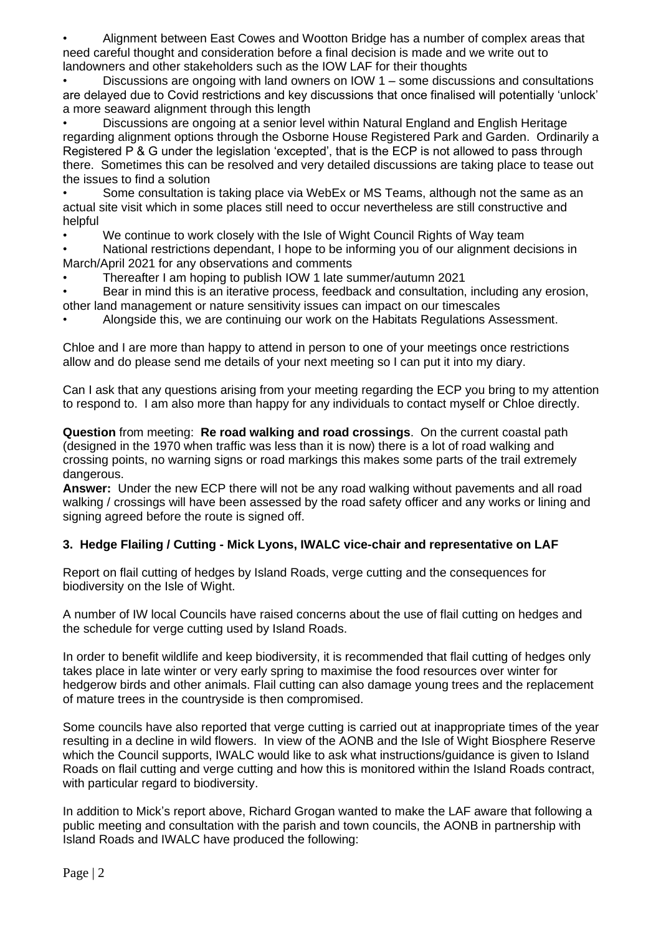• Alignment between East Cowes and Wootton Bridge has a number of complex areas that need careful thought and consideration before a final decision is made and we write out to landowners and other stakeholders such as the IOW LAF for their thoughts

• Discussions are ongoing with land owners on IOW 1 – some discussions and consultations are delayed due to Covid restrictions and key discussions that once finalised will potentially 'unlock' a more seaward alignment through this length

• Discussions are ongoing at a senior level within Natural England and English Heritage regarding alignment options through the Osborne House Registered Park and Garden. Ordinarily a Registered P & G under the legislation 'excepted', that is the ECP is not allowed to pass through there. Sometimes this can be resolved and very detailed discussions are taking place to tease out the issues to find a solution

• Some consultation is taking place via WebEx or MS Teams, although not the same as an actual site visit which in some places still need to occur nevertheless are still constructive and helpful

We continue to work closely with the Isle of Wight Council Rights of Way team

• National restrictions dependant, I hope to be informing you of our alignment decisions in March/April 2021 for any observations and comments

• Thereafter I am hoping to publish IOW 1 late summer/autumn 2021

• Bear in mind this is an iterative process, feedback and consultation, including any erosion, other land management or nature sensitivity issues can impact on our timescales

• Alongside this, we are continuing our work on the Habitats Regulations Assessment.

Chloe and I are more than happy to attend in person to one of your meetings once restrictions allow and do please send me details of your next meeting so I can put it into my diary.

Can I ask that any questions arising from your meeting regarding the ECP you bring to my attention to respond to. I am also more than happy for any individuals to contact myself or Chloe directly.

**Question** from meeting: **Re road walking and road crossings**. On the current coastal path (designed in the 1970 when traffic was less than it is now) there is a lot of road walking and crossing points, no warning signs or road markings this makes some parts of the trail extremely dangerous.

**Answer:** Under the new ECP there will not be any road walking without pavements and all road walking / crossings will have been assessed by the road safety officer and any works or lining and signing agreed before the route is signed off.

# **3. Hedge Flailing / Cutting - Mick Lyons, IWALC vice-chair and representative on LAF**

Report on flail cutting of hedges by Island Roads, verge cutting and the consequences for biodiversity on the Isle of Wight.

A number of IW local Councils have raised concerns about the use of flail cutting on hedges and the schedule for verge cutting used by Island Roads.

In order to benefit wildlife and keep biodiversity, it is recommended that flail cutting of hedges only takes place in late winter or very early spring to maximise the food resources over winter for hedgerow birds and other animals. Flail cutting can also damage young trees and the replacement of mature trees in the countryside is then compromised.

Some councils have also reported that verge cutting is carried out at inappropriate times of the year resulting in a decline in wild flowers. In view of the AONB and the Isle of Wight Biosphere Reserve which the Council supports, IWALC would like to ask what instructions/guidance is given to Island Roads on flail cutting and verge cutting and how this is monitored within the Island Roads contract, with particular regard to biodiversity.

In addition to Mick's report above, Richard Grogan wanted to make the LAF aware that following a public meeting and consultation with the parish and town councils, the AONB in partnership with Island Roads and IWALC have produced the following: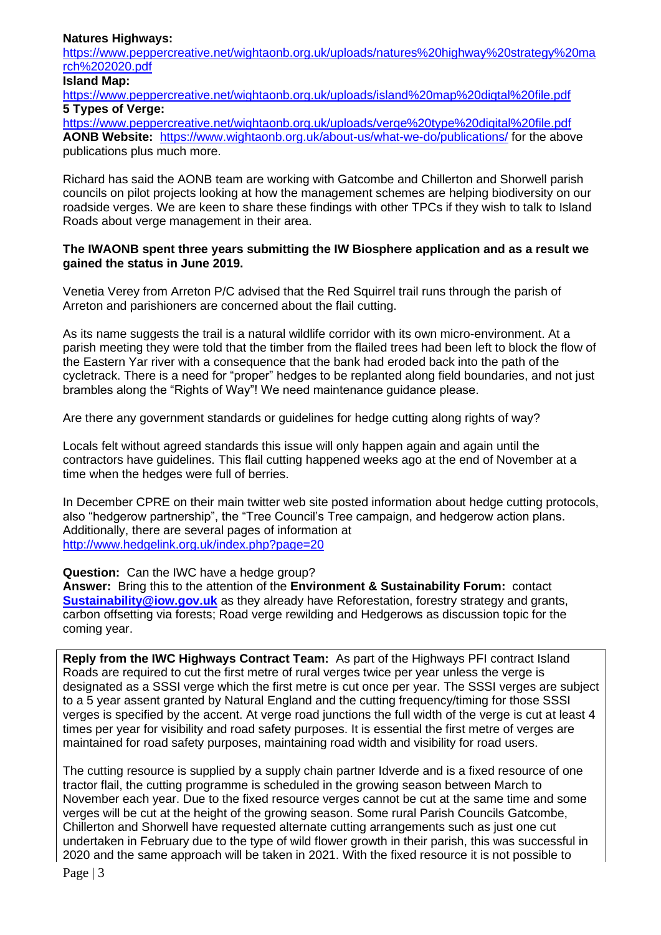#### **Natures Highways:**

[https://www.peppercreative.net/wightaonb.org.uk/uploads/natures%20highway%20strategy%20ma](https://www.peppercreative.net/wightaonb.org.uk/uploads/natures%20highway%20strategy%20march%202020.pdf) [rch%202020.pdf](https://www.peppercreative.net/wightaonb.org.uk/uploads/natures%20highway%20strategy%20march%202020.pdf)

## **Island Map:**

<https://www.peppercreative.net/wightaonb.org.uk/uploads/island%20map%20digtal%20file.pdf> **5 Types of Verge:**

<https://www.peppercreative.net/wightaonb.org.uk/uploads/verge%20type%20digital%20file.pdf> **AONB Website:** <https://www.wightaonb.org.uk/about-us/what-we-do/publications/> for the above publications plus much more.

Richard has said the AONB team are working with Gatcombe and Chillerton and Shorwell parish councils on pilot projects looking at how the management schemes are helping biodiversity on our roadside verges. We are keen to share these findings with other TPCs if they wish to talk to Island Roads about verge management in their area.

#### **The IWAONB spent three years submitting the IW Biosphere application and as a result we gained the status in June 2019.**

Venetia Verey from Arreton P/C advised that the Red Squirrel trail runs through the parish of Arreton and parishioners are concerned about the flail cutting.

As its name suggests the trail is a natural wildlife corridor with its own micro-environment. At a parish meeting they were told that the timber from the flailed trees had been left to block the flow of the Eastern Yar river with a consequence that the bank had eroded back into the path of the cycletrack. There is a need for "proper" hedges to be replanted along field boundaries, and not just brambles along the "Rights of Way"! We need maintenance guidance please.

Are there any government standards or guidelines for hedge cutting along rights of way?

Locals felt without agreed standards this issue will only happen again and again until the contractors have guidelines. This flail cutting happened weeks ago at the end of November at a time when the hedges were full of berries.

In December CPRE on their main twitter web site posted information about hedge cutting protocols, also "hedgerow partnership", the "Tree Council's Tree campaign, and hedgerow action plans. Additionally, there are several pages of information at <http://www.hedgelink.org.uk/index.php?page=20>

**Question:** Can the IWC have a hedge group?

**Answer:** Bring this to the attention of the **Environment & Sustainability Forum:** contact **[Sustainability@iow.gov.uk](mailto:Sustainability@iow.gov.uk)** as they already have Reforestation, forestry strategy and grants, carbon offsetting via forests; Road verge rewilding and Hedgerows as discussion topic for the coming year.

**Reply from the IWC Highways Contract Team:** As part of the Highways PFI contract Island Roads are required to cut the first metre of rural verges twice per year unless the verge is designated as a SSSI verge which the first metre is cut once per year. The SSSI verges are subject to a 5 year assent granted by Natural England and the cutting frequency/timing for those SSSI verges is specified by the accent. At verge road junctions the full width of the verge is cut at least 4 times per year for visibility and road safety purposes. It is essential the first metre of verges are maintained for road safety purposes, maintaining road width and visibility for road users.

The cutting resource is supplied by a supply chain partner Idverde and is a fixed resource of one tractor flail, the cutting programme is scheduled in the growing season between March to November each year. Due to the fixed resource verges cannot be cut at the same time and some verges will be cut at the height of the growing season. Some rural Parish Councils Gatcombe, Chillerton and Shorwell have requested alternate cutting arrangements such as just one cut undertaken in February due to the type of wild flower growth in their parish, this was successful in 2020 and the same approach will be taken in 2021. With the fixed resource it is not possible to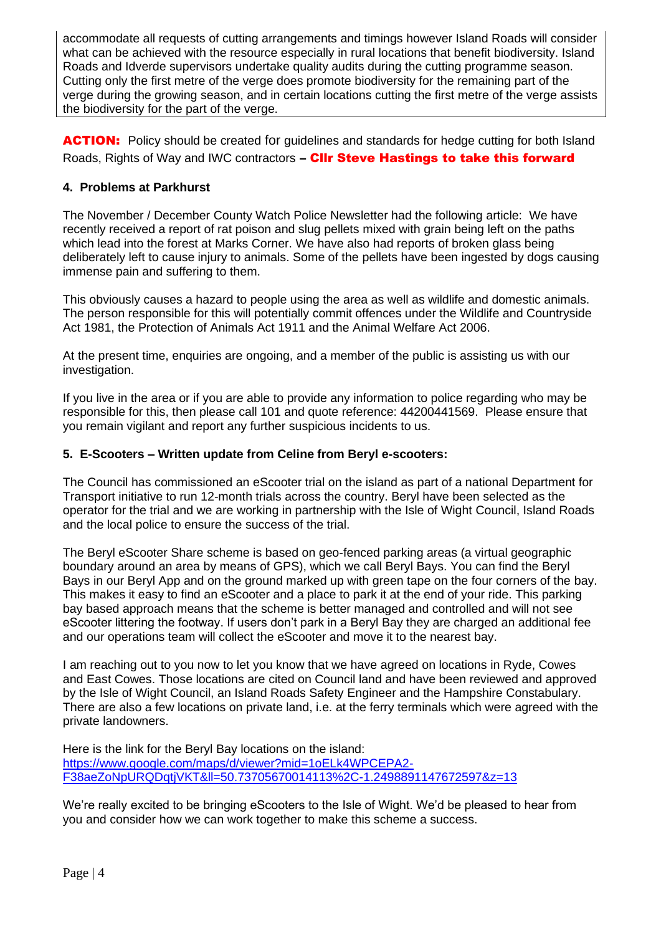accommodate all requests of cutting arrangements and timings however Island Roads will consider what can be achieved with the resource especially in rural locations that benefit biodiversity. Island Roads and Idverde supervisors undertake quality audits during the cutting programme season. Cutting only the first metre of the verge does promote biodiversity for the remaining part of the verge during the growing season, and in certain locations cutting the first metre of the verge assists the biodiversity for the part of the verge.

ACTION: Policy should be created for quidelines and standards for hedge cutting for both Island Roads, Rights of Way and IWC contractors - CIIr Steve Hastings to take this forward

## **4. Problems at Parkhurst**

The November / December County Watch Police Newsletter had the following article: We have recently received a report of rat poison and slug pellets mixed with grain being left on the paths which lead into the forest at Marks Corner. We have also had reports of broken glass being deliberately left to cause injury to animals. Some of the pellets have been ingested by dogs causing immense pain and suffering to them.

This obviously causes a hazard to people using the area as well as wildlife and domestic animals. The person responsible for this will potentially commit offences under the Wildlife and Countryside Act 1981, the Protection of Animals Act 1911 and the Animal Welfare Act 2006.

At the present time, enquiries are ongoing, and a member of the public is assisting us with our investigation.

If you live in the area or if you are able to provide any information to police regarding who may be responsible for this, then please call 101 and quote reference: 44200441569. Please ensure that you remain vigilant and report any further suspicious incidents to us.

## **5. E-Scooters – Written update from Celine from Beryl e-scooters:**

The Council has commissioned an eScooter trial on the island as part of a national Department for Transport initiative to run 12-month trials across the country. Beryl have been selected as the operator for the trial and we are working in partnership with the Isle of Wight Council, Island Roads and the local police to ensure the success of the trial.

The Beryl eScooter Share scheme is based on geo-fenced parking areas (a virtual geographic boundary around an area by means of GPS), which we call Beryl Bays. You can find the Beryl Bays in our Beryl App and on the ground marked up with green tape on the four corners of the bay. This makes it easy to find an eScooter and a place to park it at the end of your ride. This parking bay based approach means that the scheme is better managed and controlled and will not see eScooter littering the footway. If users don't park in a Beryl Bay they are charged an additional fee and our operations team will collect the eScooter and move it to the nearest bay.

I am reaching out to you now to let you know that we have agreed on locations in Ryde, Cowes and East Cowes. Those locations are cited on Council land and have been reviewed and approved by the Isle of Wight Council, an Island Roads Safety Engineer and the Hampshire Constabulary. There are also a few locations on private land, i.e. at the ferry terminals which were agreed with the private landowners.

Here is the link for the Beryl Bay locations on the island: [https://www.google.com/maps/d/viewer?mid=1oELk4WPCEPA2-](https://www.google.com/maps/d/viewer?mid=1oELk4WPCEPA2-F38aeZoNpURQDqtjVKT&ll=50.73705670014113%2C-1.2498891147672597&z=13) [F38aeZoNpURQDqtjVKT&ll=50.73705670014113%2C-1.2498891147672597&z=13](https://www.google.com/maps/d/viewer?mid=1oELk4WPCEPA2-F38aeZoNpURQDqtjVKT&ll=50.73705670014113%2C-1.2498891147672597&z=13)

We're really excited to be bringing eScooters to the Isle of Wight. We'd be pleased to hear from you and consider how we can work together to make this scheme a success.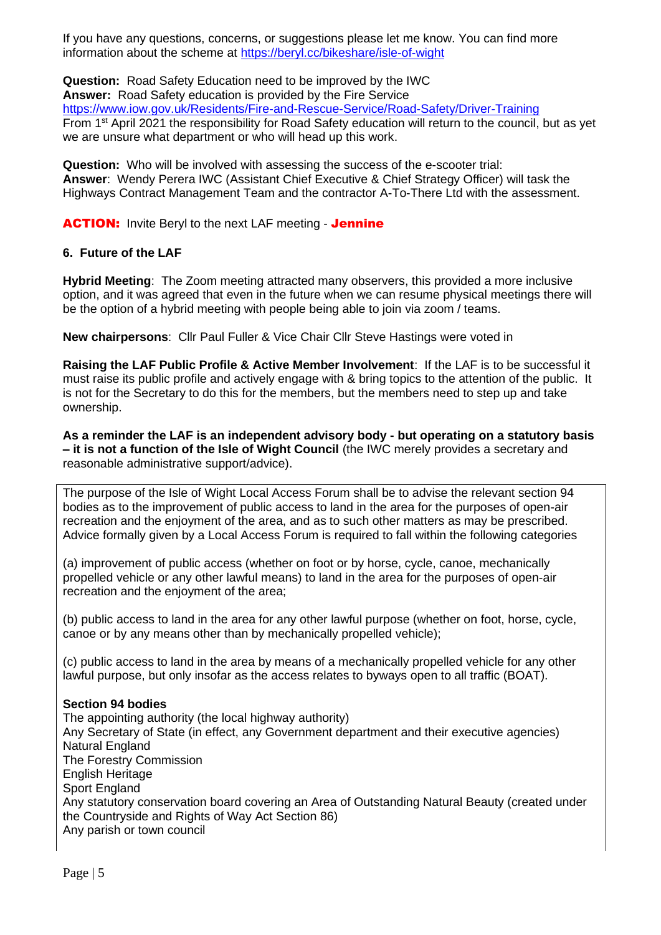If you have any questions, concerns, or suggestions please let me know. You can find more information about the scheme at<https://beryl.cc/bikeshare/isle-of-wight>

**Question:** Road Safety Education need to be improved by the IWC **Answer:** Road Safety education is provided by the Fire Service <https://www.iow.gov.uk/Residents/Fire-and-Rescue-Service/Road-Safety/Driver-Training> From 1st April 2021 the responsibility for Road Safety education will return to the council, but as yet we are unsure what department or who will head up this work.

**Question:** Who will be involved with assessing the success of the e-scooter trial: **Answer**: Wendy Perera IWC (Assistant Chief Executive & Chief Strategy Officer) will task the Highways Contract Management Team and the contractor A-To-There Ltd with the assessment.

## **ACTION:** Invite Beryl to the next LAF meeting - Jennine

## **6. Future of the LAF**

**Hybrid Meeting**: The Zoom meeting attracted many observers, this provided a more inclusive option, and it was agreed that even in the future when we can resume physical meetings there will be the option of a hybrid meeting with people being able to join via zoom / teams.

**New chairpersons**: Cllr Paul Fuller & Vice Chair Cllr Steve Hastings were voted in

**Raising the LAF Public Profile & Active Member Involvement**: If the LAF is to be successful it must raise its public profile and actively engage with & bring topics to the attention of the public. It is not for the Secretary to do this for the members, but the members need to step up and take ownership.

**As a reminder the LAF is an independent advisory body - but operating on a statutory basis – it is not a function of the Isle of Wight Council** (the IWC merely provides a secretary and reasonable administrative support/advice).

The purpose of the Isle of Wight Local Access Forum shall be to advise the relevant section 94 bodies as to the improvement of public access to land in the area for the purposes of open-air recreation and the enjoyment of the area, and as to such other matters as may be prescribed. Advice formally given by a Local Access Forum is required to fall within the following categories

(a) improvement of public access (whether on foot or by horse, cycle, canoe, mechanically propelled vehicle or any other lawful means) to land in the area for the purposes of open-air recreation and the enjoyment of the area;

(b) public access to land in the area for any other lawful purpose (whether on foot, horse, cycle, canoe or by any means other than by mechanically propelled vehicle);

(c) public access to land in the area by means of a mechanically propelled vehicle for any other lawful purpose, but only insofar as the access relates to byways open to all traffic (BOAT).

## **Section 94 bodies**

The appointing authority (the local highway authority) Any Secretary of State (in effect, any Government department and their executive agencies) Natural England The Forestry Commission English Heritage Sport England Any statutory conservation board covering an Area of Outstanding Natural Beauty (created under the Countryside and Rights of Way Act Section 86) Any parish or town council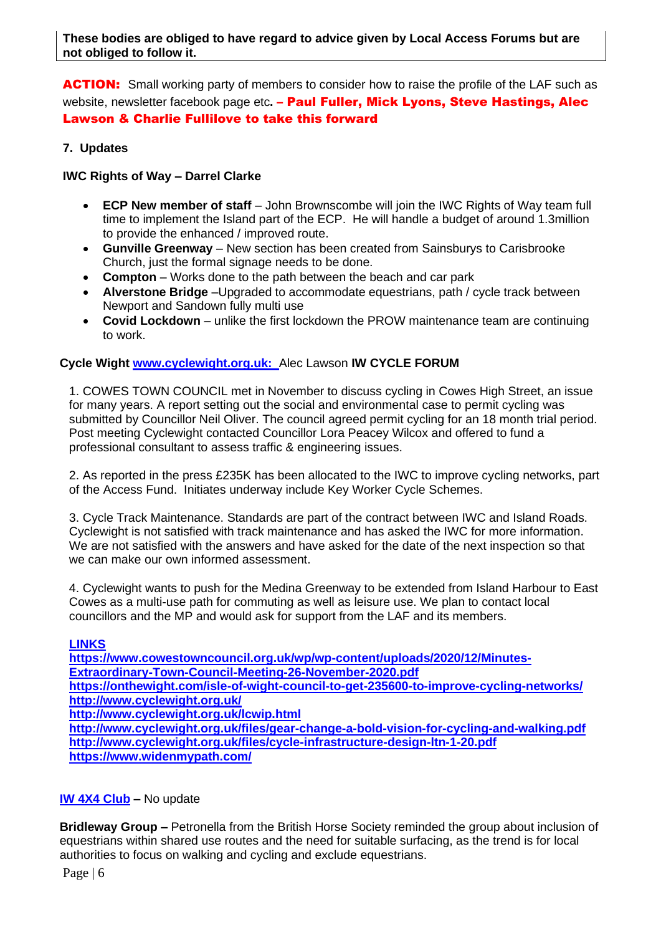**ACTION:** Small working party of members to consider how to raise the profile of the LAF such as website, newsletter facebook page etc. - **Paul Fuller, Mick Lyons, Steve Hastings, Alec** Lawson & Charlie Fullilove to take this forward

## **7. Updates**

## **IWC Rights of Way – Darrel Clarke**

- **ECP New member of staff**  John Brownscombe will join the IWC Rights of Way team full time to implement the Island part of the ECP. He will handle a budget of around 1.3million to provide the enhanced / improved route.
- **Gunville Greenway** New section has been created from Sainsburys to Carisbrooke Church, just the formal signage needs to be done.
- **Compton** Works done to the path between the beach and car park
- **Alverstone Bridge** –Upgraded to accommodate equestrians, path / cycle track between Newport and Sandown fully multi use
- **Covid Lockdown** unlike the first lockdown the PROW maintenance team are continuing to work.

# **Cycle Wight [www.cyclewight.org.uk:](http://www.cyclewight.org.uk/)** Alec Lawson **IW CYCLE FORUM**

1. COWES TOWN COUNCIL met in November to discuss cycling in Cowes High Street, an issue for many years. A report setting out the social and environmental case to permit cycling was submitted by Councillor Neil Oliver. The council agreed permit cycling for an 18 month trial period. Post meeting Cyclewight contacted Councillor Lora Peacey Wilcox and offered to fund a professional consultant to assess traffic & engineering issues.

2. As reported in the press £235K has been allocated to the IWC to improve cycling networks, part of the Access Fund. Initiates underway include Key Worker Cycle Schemes.

3. Cycle Track Maintenance. Standards are part of the contract between IWC and Island Roads. Cyclewight is not satisfied with track maintenance and has asked the IWC for more information. We are not satisfied with the answers and have asked for the date of the next inspection so that we can make our own informed assessment.

4. Cyclewight wants to push for the Medina Greenway to be extended from Island Harbour to East Cowes as a multi-use path for commuting as well as leisure use. We plan to contact local councillors and the MP and would ask for support from the LAF and its members.

## **LINKS**

**https://www.cowestowncouncil.org.uk/wp/wp-content/uploads/2020/12/Minutes-Extraordinary-Town-Council-Meeting-26-November-2020.pdf https://onthewight.com/isle-of-wight-council-to-get-235600-to-improve-cycling-networks/ http://www.cyclewight.org.uk/ http://www.cyclewight.org.uk/lcwip.html http://www.cyclewight.org.uk/files/gear-change-a-bold-vision-for-cycling-and-walking.pdf http://www.cyclewight.org.uk/files/cycle-infrastructure-design-ltn-1-20.pdf**

# **https://www.widenmypath.com/**

# **[IW 4X4](http://iow4x4club.co.uk/) Club –** No update

**Bridleway Group –** Petronella from the British Horse Society reminded the group about inclusion of equestrians within shared use routes and the need for suitable surfacing, as the trend is for local authorities to focus on walking and cycling and exclude equestrians.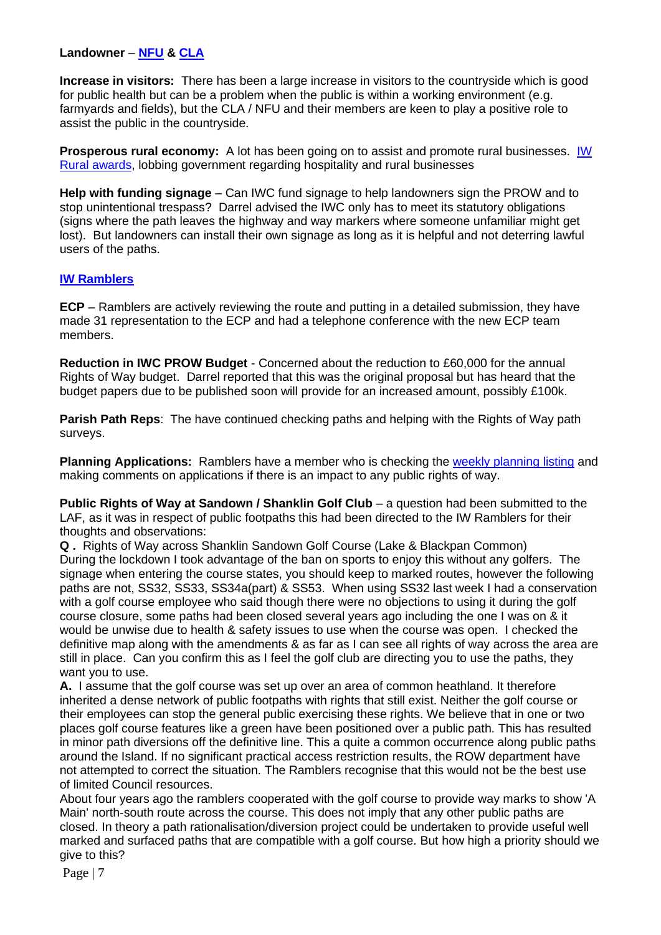### **Landowner** – **[NFU](https://www.nfumutual.co.uk/farming/) & [CLA](https://www.cla.org.uk/your-area/south-east/your-cla-local-branch/isle-wight)**

**Increase in visitors:** There has been a large increase in visitors to the countryside which is good for public health but can be a problem when the public is within a working environment (e.g. farmyards and fields), but the CLA / NFU and their members are keen to play a positive role to assist the public in the countryside.

**Prosperous rural economy:** A lot has been going on to assist and promote rural businesses. *IW* [Rural awards,](http://www.riwas.org.uk/node/218) lobbing government regarding hospitality and rural businesses

**Help with funding signage** – Can IWC fund signage to help landowners sign the PROW and to stop unintentional trespass? Darrel advised the IWC only has to meet its statutory obligations (signs where the path leaves the highway and way markers where someone unfamiliar might get lost). But landowners can install their own signage as long as it is helpful and not deterring lawful users of the paths.

#### **[IW Ramblers](http://www.iowramblers.com/home)**

**ECP** – Ramblers are actively reviewing the route and putting in a detailed submission, they have made 31 representation to the ECP and had a telephone conference with the new ECP team members.

**Reduction in IWC PROW Budget** - Concerned about the reduction to £60,000 for the annual Rights of Way budget. Darrel reported that this was the original proposal but has heard that the budget papers due to be published soon will provide for an increased amount, possibly £100k.

**Parish Path Reps**: The have continued checking paths and helping with the Rights of Way path surveys.

**Planning Applications:** Ramblers have a member who is checking the [weekly planning listing](https://www.iow.gov.uk/planning/) and making comments on applications if there is an impact to any public rights of way.

**Public Rights of Way at Sandown / Shanklin Golf Club** – a question had been submitted to the LAF, as it was in respect of public footpaths this had been directed to the IW Ramblers for their thoughts and observations:

**Q .** Rights of Way across Shanklin Sandown Golf Course (Lake & Blackpan Common) During the lockdown I took advantage of the ban on sports to enjoy this without any golfers. The signage when entering the course states, you should keep to marked routes, however the following paths are not, SS32, SS33, SS34a(part) & SS53. When using SS32 last week I had a conservation with a golf course employee who said though there were no objections to using it during the golf course closure, some paths had been closed several years ago including the one I was on & it would be unwise due to health & safety issues to use when the course was open. I checked the definitive map along with the amendments & as far as I can see all rights of way across the area are still in place. Can you confirm this as I feel the golf club are directing you to use the paths, they want you to use.

**A.** I assume that the golf course was set up over an area of common heathland. It therefore inherited a dense network of public footpaths with rights that still exist. Neither the golf course or their employees can stop the general public exercising these rights. We believe that in one or two places golf course features like a green have been positioned over a public path. This has resulted in minor path diversions off the definitive line. This a quite a common occurrence along public paths around the Island. If no significant practical access restriction results, the ROW department have not attempted to correct the situation. The Ramblers recognise that this would not be the best use of limited Council resources.

About four years ago the ramblers cooperated with the golf course to provide way marks to show 'A Main' north-south route across the course. This does not imply that any other public paths are closed. In theory a path rationalisation/diversion project could be undertaken to provide useful well marked and surfaced paths that are compatible with a golf course. But how high a priority should we give to this?

Page | 7